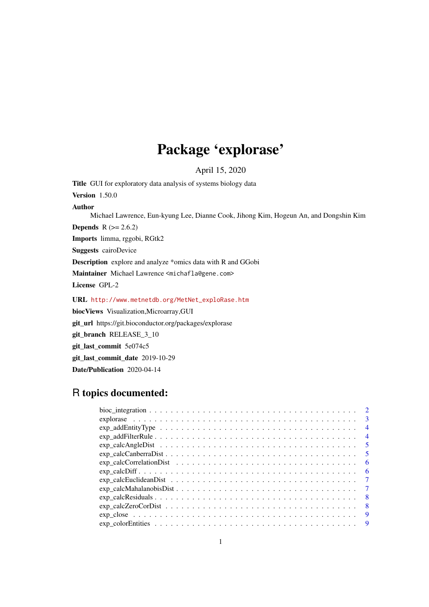# Package 'explorase'

April 15, 2020

Title GUI for exploratory data analysis of systems biology data Version 1.50.0 Author Michael Lawrence, Eun-kyung Lee, Dianne Cook, Jihong Kim, Hogeun An, and Dongshin Kim **Depends**  $R (= 2.6.2)$ Imports limma, rggobi, RGtk2 Suggests cairoDevice Description explore and analyze \*omics data with R and GGobi Maintainer Michael Lawrence <michafla@gene.com> License GPL-2 URL [http://www.metnetdb.org/MetNet\\_exploRase.htm](http://www.metnetdb.org/MetNet_exploRase.htm) biocViews Visualization,Microarray,GUI git\_url https://git.bioconductor.org/packages/explorase git\_branch RELEASE\_3\_10 git\_last\_commit 5e074c5 git\_last\_commit\_date 2019-10-29 Date/Publication 2020-04-14

# R topics documented:

| $exp\_addEntityType \ldots \ldots \ldots \ldots \ldots \ldots \ldots \ldots \ldots \ldots \ldots$ | $\overline{4}$ |
|---------------------------------------------------------------------------------------------------|----------------|
| $exp\_addFilterRule$                                                                              | $\overline{4}$ |
|                                                                                                   | $\overline{5}$ |
|                                                                                                   | $\overline{5}$ |
|                                                                                                   | - 6            |
|                                                                                                   | - 6            |
|                                                                                                   | $\overline{7}$ |
|                                                                                                   | $\overline{7}$ |
|                                                                                                   | - 8            |
|                                                                                                   | - 8            |
|                                                                                                   | -9             |
|                                                                                                   |                |
|                                                                                                   |                |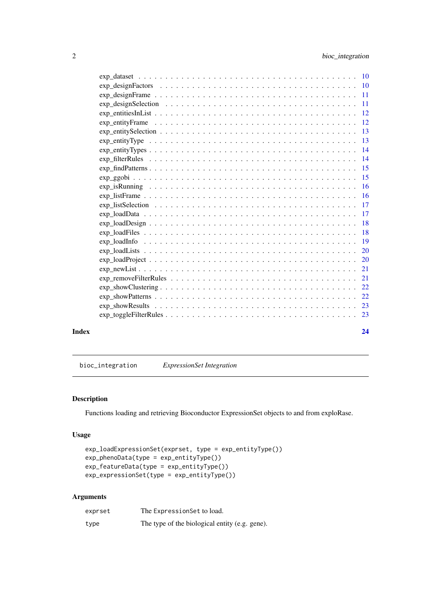<span id="page-1-0"></span>

| 11                                                                                                                            |
|-------------------------------------------------------------------------------------------------------------------------------|
| <sup>12</sup>                                                                                                                 |
| -12                                                                                                                           |
| $exp_{i}$ entity Selection $\ldots \ldots \ldots \ldots \ldots \ldots \ldots \ldots \ldots \ldots \ldots \ldots \ldots$<br>13 |
| -13                                                                                                                           |
|                                                                                                                               |
| -14                                                                                                                           |
| -15                                                                                                                           |
| 15                                                                                                                            |
| 16                                                                                                                            |
| -16                                                                                                                           |
| 17<br>$exp_{i}$ list Selection $\ldots \ldots \ldots \ldots \ldots \ldots \ldots \ldots \ldots \ldots \ldots \ldots \ldots$   |
| <b>17</b>                                                                                                                     |
| 18                                                                                                                            |
| 18<br>$exp\_loadFiles \ldots \ldots \ldots \ldots \ldots \ldots \ldots \ldots \ldots \ldots \ldots \ldots$                    |
| -19                                                                                                                           |
| 20                                                                                                                            |
| $exp\_loadProject \ldots \ldots \ldots \ldots \ldots \ldots \ldots \ldots \ldots \ldots \ldots \ldots$<br>20                  |
| 21                                                                                                                            |
| 21                                                                                                                            |
| $exp\_showClustering$<br>22                                                                                                   |
| 22                                                                                                                            |
| 23                                                                                                                            |
| 23                                                                                                                            |
|                                                                                                                               |

#### **Index** [24](#page-23-0)

bioc\_integration *ExpressionSet Integration*

# Description

Functions loading and retrieving Bioconductor ExpressionSet objects to and from exploRase.

#### Usage

```
exp_loadExpressionSet(exprset, type = exp_entityType())
exp_phenoData(type = exp_entityType())
exp_featureData(type = exp_entityType())
exp_expressionSet(type = exp_entityType())
```
# Arguments

| exprset | The Expression Set to load.                    |
|---------|------------------------------------------------|
| type    | The type of the biological entity (e.g. gene). |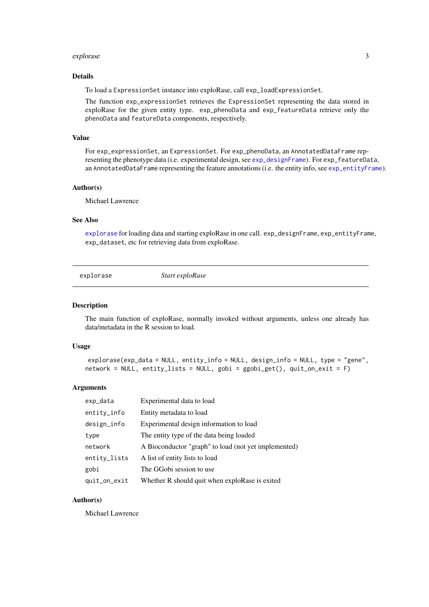#### <span id="page-2-0"></span>explorase 3

#### Details

To load a ExpressionSet instance into exploRase, call exp\_loadExpressionSet.

The function exp\_expressionSet retrieves the ExpressionSet representing the data stored in exploRase for the given entity type. exp\_phenoData and exp\_featureData retrieve only the phenoData and featureData components, respectively.

#### Value

For exp\_expressionSet, an ExpressionSet. For exp\_phenoData, an AnnotatedDataFrame representing the phenotype data (i.e. experimental design, see [exp\\_designFrame](#page-10-1)). For exp\_featureData, an AnnotatedDataFrame representing the feature annotations (i.e. the entity info, see [exp\\_entityFrame](#page-11-1)).

#### Author(s)

Michael Lawrence

#### See Also

[explorase](#page-2-1) for loading data and starting exploRase in one call. exp\_designFrame, exp\_entityFrame, exp\_dataset, etc for retrieving data from exploRase.

<span id="page-2-1"></span>explorase *Start exploRase*

#### Description

The main function of exploRase, normally invoked without arguments, unless one already has data/metadata in the R session to load.

## Usage

```
explorase(exp_data = NULL, entity_info = NULL, design_info = NULL, type = "gene",
network = NULL, entity_lists = NULL, gobi = ggobi_get(), quit_on_exit = F)
```
#### Arguments

| exp_data     | Experimental data to load                            |
|--------------|------------------------------------------------------|
| entity_info  | Entity metadata to load                              |
| design_info  | Experimental design information to load              |
| type         | The entity type of the data being loaded             |
| network      | A Bioconductor "graph" to load (not yet implemented) |
| entity_lists | A list of entity lists to load                       |
| gobi         | The GGobi session to use                             |
| quit_on_exit | Whether R should quit when exploRase is exited       |

## Author(s)

Michael Lawrence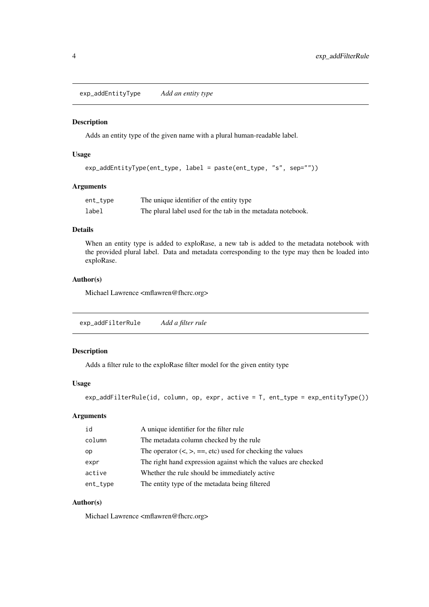<span id="page-3-0"></span>exp\_addEntityType *Add an entity type*

# Description

Adds an entity type of the given name with a plural human-readable label.

# Usage

```
exp_addEntityType(ent_type, label = paste(ent_type, "s", sep=""))
```
#### Arguments

| ent_type | The unique identifier of the entity type                    |
|----------|-------------------------------------------------------------|
| label    | The plural label used for the tab in the metadata notebook. |

#### Details

When an entity type is added to exploRase, a new tab is added to the metadata notebook with the provided plural label. Data and metadata corresponding to the type may then be loaded into exploRase.

#### Author(s)

Michael Lawrence <mflawren@fhcrc.org>

| exp_addFilterRule | Add a filter rule |
|-------------------|-------------------|
|-------------------|-------------------|

#### Description

Adds a filter rule to the exploRase filter model for the given entity type

## Usage

```
exp_addFilterRule(id, column, op, expr, active = T, ent_type = exp_entityType())
```
#### Arguments

| id       | A unique identifier for the filter rule                        |
|----------|----------------------------------------------------------------|
| column   | The metadata column checked by the rule                        |
| op       | The operator $(<, >, ==, etc)$ used for checking the values    |
| expr     | The right hand expression against which the values are checked |
| active   | Whether the rule should be immediately active.                 |
| ent_type | The entity type of the metadata being filtered                 |

# Author(s)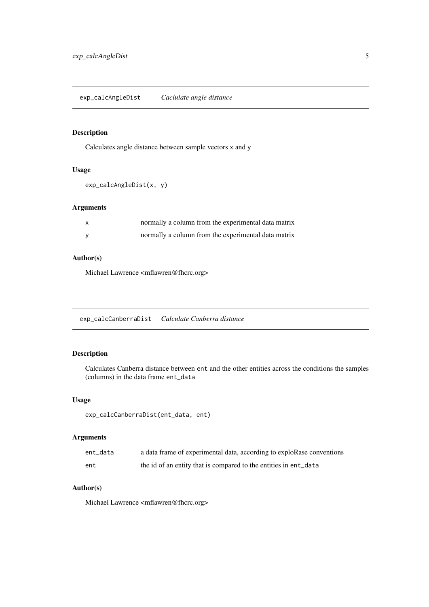<span id="page-4-0"></span>exp\_calcAngleDist *Caclulate angle distance*

# Description

Calculates angle distance between sample vectors x and y

# Usage

```
exp_calcAngleDist(x, y)
```
#### Arguments

| normally a column from the experimental data matrix |
|-----------------------------------------------------|
| normally a column from the experimental data matrix |

# Author(s)

Michael Lawrence <mflawren@fhcrc.org>

exp\_calcCanberraDist *Calculate Canberra distance*

# Description

Calculates Canberra distance between ent and the other entities across the conditions the samples (columns) in the data frame ent\_data

# Usage

```
exp_calcCanberraDist(ent_data, ent)
```
# Arguments

| ent data | a data frame of experimental data, according to exploRase conventions |
|----------|-----------------------------------------------------------------------|
| ent      | the id of an entity that is compared to the entities in ent_data      |

# Author(s)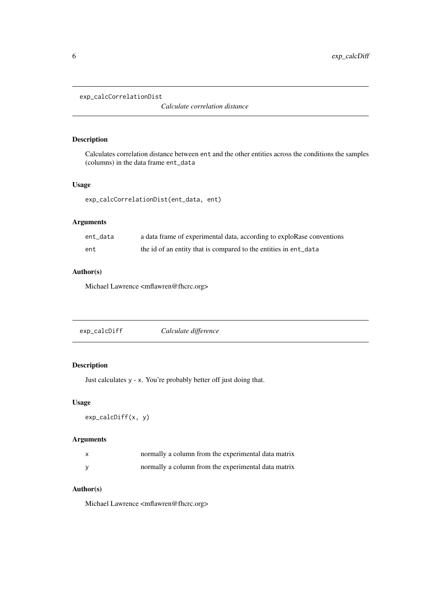<span id="page-5-0"></span>exp\_calcCorrelationDist

*Calculate correlation distance*

## Description

Calculates correlation distance between ent and the other entities across the conditions the samples (columns) in the data frame ent\_data

# Usage

exp\_calcCorrelationDist(ent\_data, ent)

## Arguments

| ent data | a data frame of experimental data, according to exploRase conventions |
|----------|-----------------------------------------------------------------------|
| ent      | the id of an entity that is compared to the entities in ent_data      |

# Author(s)

Michael Lawrence <mflawren@fhcrc.org>

| exp_calcDiff | Calculate difference |  |
|--------------|----------------------|--|
|--------------|----------------------|--|

# Description

Just calculates y - x. You're probably better off just doing that.

#### Usage

```
exp_calcDiff(x, y)
```
# Arguments

| X | normally a column from the experimental data matrix |
|---|-----------------------------------------------------|
|   | normally a column from the experimental data matrix |

# Author(s)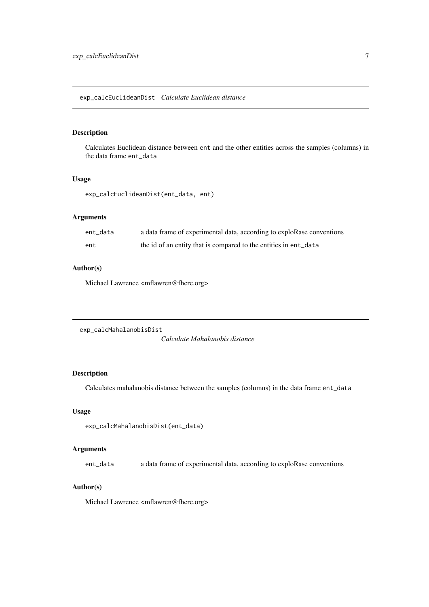<span id="page-6-0"></span>exp\_calcEuclideanDist *Calculate Euclidean distance*

## Description

Calculates Euclidean distance between ent and the other entities across the samples (columns) in the data frame ent\_data

#### Usage

exp\_calcEuclideanDist(ent\_data, ent)

## Arguments

| ent data | a data frame of experimental data, according to exploRase conventions |
|----------|-----------------------------------------------------------------------|
| ent      | the id of an entity that is compared to the entities in ent_data      |

#### Author(s)

Michael Lawrence <mflawren@fhcrc.org>

```
exp_calcMahalanobisDist
```
*Calculate Mahalanobis distance*

### Description

Calculates mahalanobis distance between the samples (columns) in the data frame ent\_data

#### Usage

exp\_calcMahalanobisDist(ent\_data)

#### Arguments

ent\_data a data frame of experimental data, according to exploRase conventions

#### Author(s)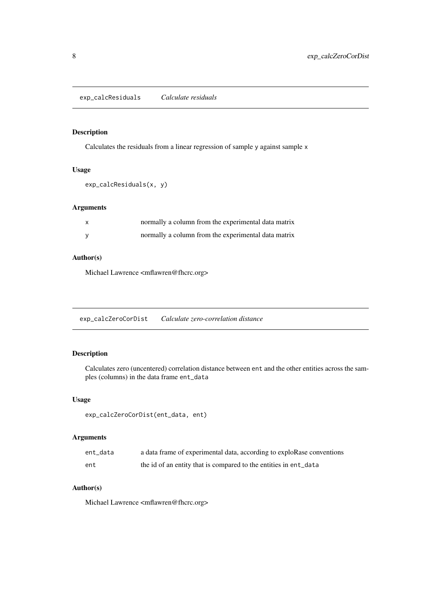<span id="page-7-0"></span>exp\_calcResiduals *Calculate residuals*

# Description

Calculates the residuals from a linear regression of sample y against sample x

# Usage

```
exp_calcResiduals(x, y)
```
#### Arguments

| normally a column from the experimental data matrix |
|-----------------------------------------------------|
| normally a column from the experimental data matrix |

# Author(s)

Michael Lawrence <mflawren@fhcrc.org>

exp\_calcZeroCorDist *Calculate zero-correlation distance*

#### Description

Calculates zero (uncentered) correlation distance between ent and the other entities across the samples (columns) in the data frame ent\_data

# Usage

```
exp_calcZeroCorDist(ent_data, ent)
```
# Arguments

| ent data | a data frame of experimental data, according to exploRase conventions |
|----------|-----------------------------------------------------------------------|
| ent      | the id of an entity that is compared to the entities in ent_data      |

## Author(s)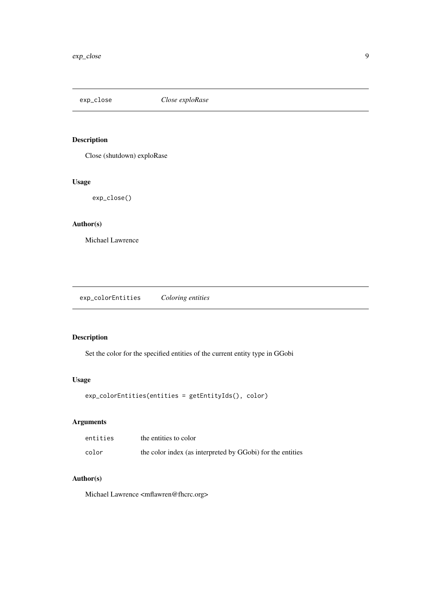<span id="page-8-0"></span>

# Description

Close (shutdown) exploRase

#### Usage

exp\_close()

# Author(s)

Michael Lawrence

exp\_colorEntities *Coloring entities*

# Description

Set the color for the specified entities of the current entity type in GGobi

# Usage

exp\_colorEntities(entities = getEntityIds(), color)

# Arguments

| entities | the entities to color                                      |
|----------|------------------------------------------------------------|
| color    | the color index (as interpreted by GGobi) for the entities |

# Author(s)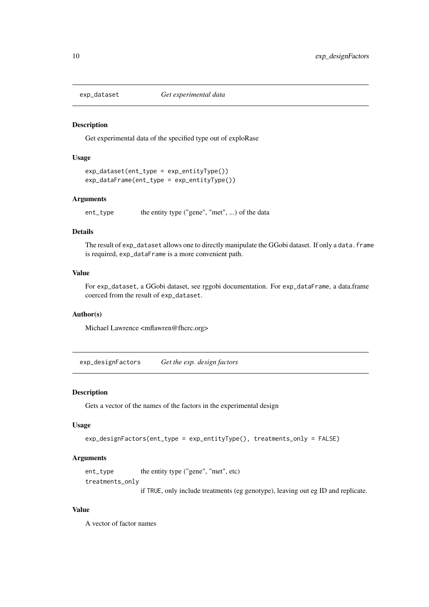<span id="page-9-0"></span>

#### Description

Get experimental data of the specified type out of exploRase

#### Usage

```
exp_dataset(ent_type = exp_entityType())
exp_dataFrame(ent_type = exp_entityType())
```
#### Arguments

```
ent_type the entity type ("gene", "met", ...) of the data
```
#### Details

The result of exp\_dataset allows one to directly manipulate the GGobi dataset. If only a data.frame is required, exp\_dataFrame is a more convenient path.

#### Value

For exp\_dataset, a GGobi dataset, see rggobi documentation. For exp\_dataFrame, a data.frame coerced from the result of exp\_dataset.

# Author(s)

Michael Lawrence <mflawren@fhcrc.org>

exp\_designFactors *Get the exp. design factors*

#### Description

Gets a vector of the names of the factors in the experimental design

#### Usage

```
exp_designFactors(ent_type = exp_entityType(), treatments_only = FALSE)
```
#### Arguments

ent\_type the entity type ("gene", "met", etc)

treatments\_only

if TRUE, only include treatments (eg genotype), leaving out eg ID and replicate.

#### Value

A vector of factor names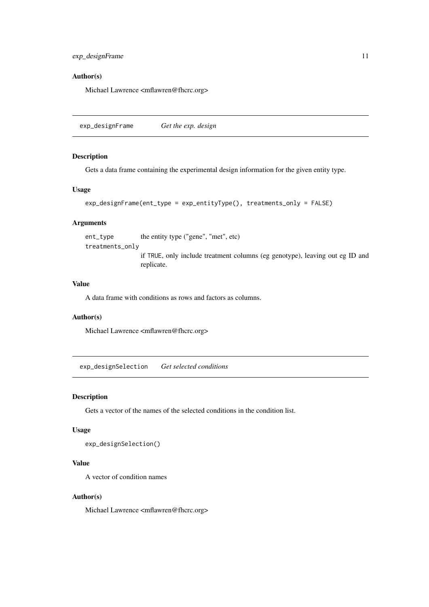<span id="page-10-0"></span>exp\_designFrame 11

#### Author(s)

Michael Lawrence <mflawren@fhcrc.org>

<span id="page-10-1"></span>exp\_designFrame *Get the exp. design*

#### Description

Gets a data frame containing the experimental design information for the given entity type.

#### Usage

```
exp_designFrame(ent_type = exp_entityType(), treatments_only = FALSE)
```
### Arguments

ent\_type the entity type ("gene", "met", etc)

treatments\_only

if TRUE, only include treatment columns (eg genotype), leaving out eg ID and replicate.

## Value

A data frame with conditions as rows and factors as columns.

#### Author(s)

Michael Lawrence <mflawren@fhcrc.org>

exp\_designSelection *Get selected conditions*

#### Description

Gets a vector of the names of the selected conditions in the condition list.

#### Usage

exp\_designSelection()

#### Value

A vector of condition names

#### Author(s)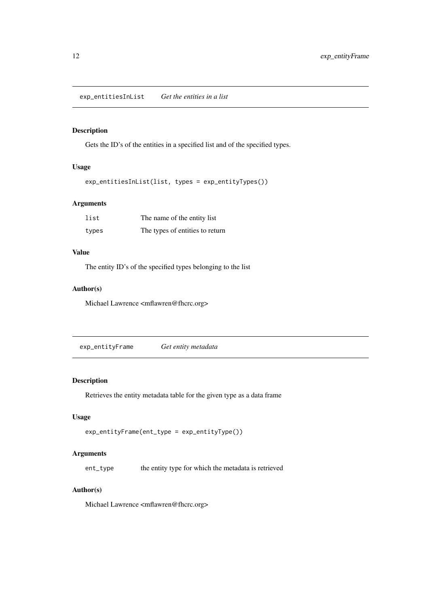<span id="page-11-0"></span>exp\_entitiesInList *Get the entities in a list*

# Description

Gets the ID's of the entities in a specified list and of the specified types.

## Usage

exp\_entitiesInList(list, types = exp\_entityTypes())

# Arguments

| list  | The name of the entity list     |
|-------|---------------------------------|
| types | The types of entities to return |

# Value

The entity ID's of the specified types belonging to the list

#### Author(s)

Michael Lawrence <mflawren@fhcrc.org>

<span id="page-11-1"></span>exp\_entityFrame *Get entity metadata*

#### Description

Retrieves the entity metadata table for the given type as a data frame

## Usage

```
exp_entityFrame(ent_type = exp_entityType())
```
# Arguments

ent\_type the entity type for which the metadata is retrieved

#### Author(s)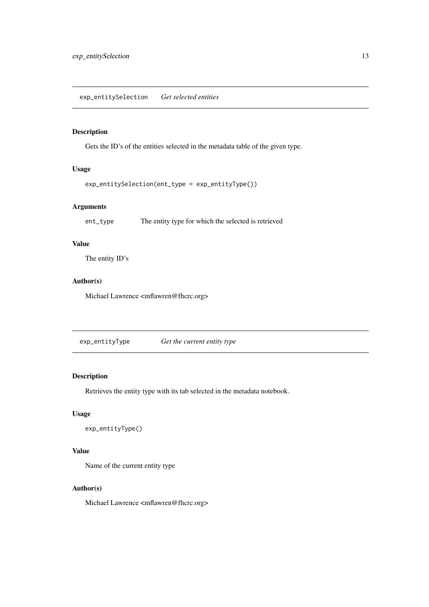<span id="page-12-0"></span>exp\_entitySelection *Get selected entities*

# Description

Gets the ID's of the entities selected in the metadata table of the given type.

## Usage

```
exp_entitySelection(ent_type = exp_entityType())
```
#### Arguments

ent\_type The entity type for which the selected is retrieved

# Value

The entity ID's

# Author(s)

Michael Lawrence <mflawren@fhcrc.org>

exp\_entityType *Get the current entity type*

# Description

Retrieves the entity type with its tab selected in the metadata notebook.

# Usage

```
exp_entityType()
```
#### Value

Name of the current entity type

# Author(s)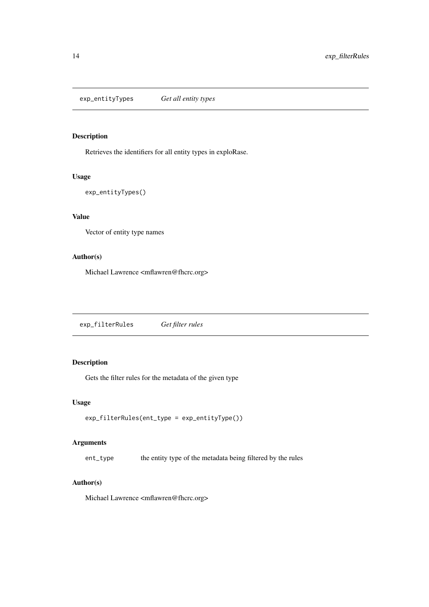<span id="page-13-0"></span>exp\_entityTypes *Get all entity types*

# Description

Retrieves the identifiers for all entity types in exploRase.

#### Usage

```
exp_entityTypes()
```
# Value

Vector of entity type names

# Author(s)

Michael Lawrence <mflawren@fhcrc.org>

exp\_filterRules *Get filter rules*

# Description

Gets the filter rules for the metadata of the given type

#### Usage

```
exp_filterRules(ent_type = exp_entityType())
```
# Arguments

ent\_type the entity type of the metadata being filtered by the rules

#### Author(s)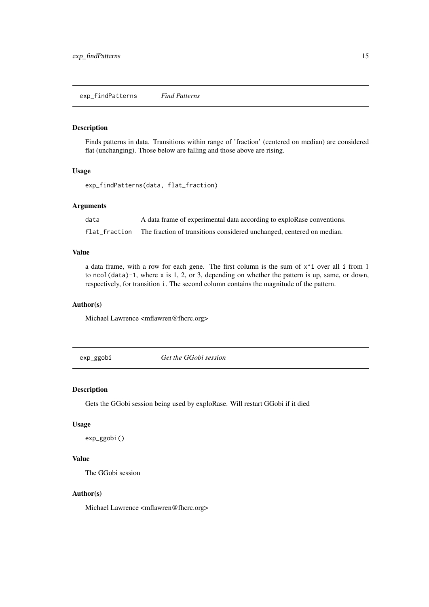<span id="page-14-1"></span><span id="page-14-0"></span>exp\_findPatterns *Find Patterns*

#### Description

Finds patterns in data. Transitions within range of 'fraction' (centered on median) are considered flat (unchanging). Those below are falling and those above are rising.

#### Usage

exp\_findPatterns(data, flat\_fraction)

#### Arguments

data A data frame of experimental data according to exploRase conventions.

flat\_fraction The fraction of transitions considered unchanged, centered on median.

#### Value

a data frame, with a row for each gene. The first column is the sum of  $x^i$  over all i from 1 to ncol(data)-1, where x is 1, 2, or 3, depending on whether the pattern is up, same, or down, respectively, for transition i. The second column contains the magnitude of the pattern.

#### Author(s)

Michael Lawrence <mflawren@fhcrc.org>

exp\_ggobi *Get the GGobi session*

#### Description

Gets the GGobi session being used by exploRase. Will restart GGobi if it died

## Usage

exp\_ggobi()

#### Value

The GGobi session

#### Author(s)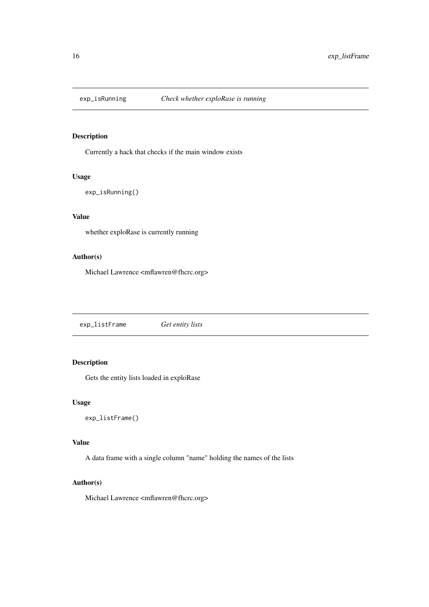<span id="page-15-0"></span>

# Description

Currently a hack that checks if the main window exists

#### Usage

exp\_isRunning()

# Value

whether exploRase is currently running

# Author(s)

Michael Lawrence <mflawren@fhcrc.org>

exp\_listFrame *Get entity lists*

# Description

Gets the entity lists loaded in exploRase

#### Usage

exp\_listFrame()

## Value

A data frame with a single column "name" holding the names of the lists

#### Author(s)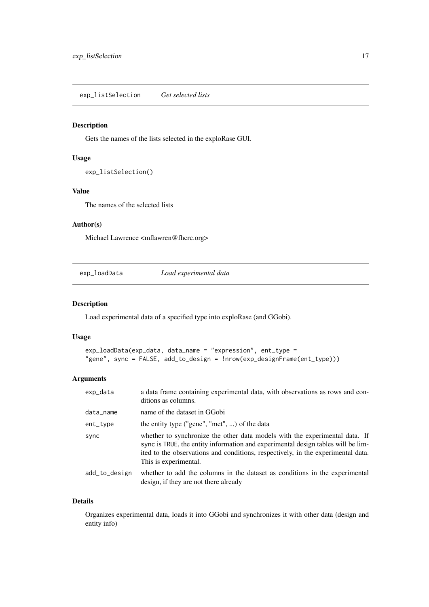<span id="page-16-0"></span>exp\_listSelection *Get selected lists*

#### Description

Gets the names of the lists selected in the exploRase GUI.

# Usage

```
exp_listSelection()
```
## Value

The names of the selected lists

#### Author(s)

Michael Lawrence <mflawren@fhcrc.org>

exp\_loadData *Load experimental data*

#### Description

Load experimental data of a specified type into exploRase (and GGobi).

#### Usage

```
exp_loadData(exp_data, data_name = "expression", ent_type =
"gene", sync = FALSE, add_to_design = !nrow(exp_designFrame(ent_type)))
```
#### Arguments

| exp_data      | a data frame containing experimental data, with observations as rows and con-<br>ditions as columns.                                                                                                                                                                         |
|---------------|------------------------------------------------------------------------------------------------------------------------------------------------------------------------------------------------------------------------------------------------------------------------------|
| data_name     | name of the dataset in GGobi                                                                                                                                                                                                                                                 |
| ent_type      | the entity type ("gene", "met", ) of the data                                                                                                                                                                                                                                |
| sync          | whether to synchronize the other data models with the experimental data. If<br>sync is TRUE, the entity information and experimental design tables will be lim-<br>ited to the observations and conditions, respectively, in the experimental data.<br>This is experimental. |
| add_to_design | whether to add the columns in the dataset as conditions in the experimental<br>design, if they are not there already                                                                                                                                                         |

## Details

Organizes experimental data, loads it into GGobi and synchronizes it with other data (design and entity info)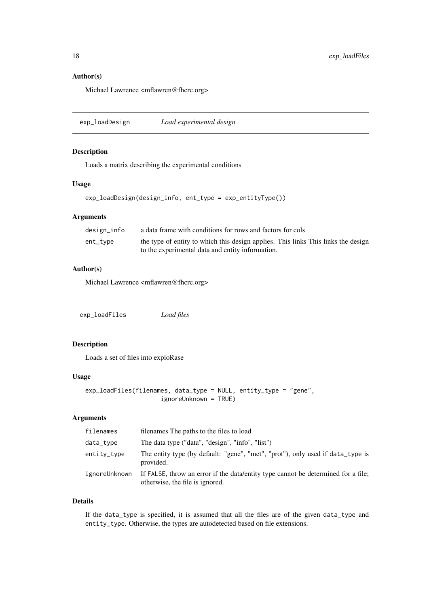#### Author(s)

Michael Lawrence <mflawren@fhcrc.org>

exp\_loadDesign *Load experimental design*

#### Description

Loads a matrix describing the experimental conditions

#### Usage

```
exp_loadDesign(design_info, ent_type = exp_entityType())
```
#### Arguments

| design_info | a data frame with conditions for rows and factors for cols                        |
|-------------|-----------------------------------------------------------------------------------|
| ent_tvpe    | the type of entity to which this design applies. This links This links the design |
|             | to the experimental data and entity information.                                  |

#### Author(s)

Michael Lawrence <mflawren@fhcrc.org>

| exp_loadFiles | Load files |  |
|---------------|------------|--|
|               |            |  |

## Description

Loads a set of files into exploRase

## Usage

```
exp_loadFiles(filenames, data_type = NULL, entity_type = "gene",
                     ignoreUnknown = TRUE)
```
## Arguments

| filenames     | filenames The paths to the files to load                                                                             |
|---------------|----------------------------------------------------------------------------------------------------------------------|
| data_type     | The data type ("data", "design", "info", "list")                                                                     |
| entity_type   | The entity type (by default: "gene", "met", "prot"), only used if data_type is<br>provided.                          |
| ignoreUnknown | If FALSE, throw an error if the data/entity type cannot be determined for a file.<br>otherwise, the file is ignored. |

# Details

If the data\_type is specified, it is assumed that all the files are of the given data\_type and entity\_type. Otherwise, the types are autodetected based on file extensions.

<span id="page-17-0"></span>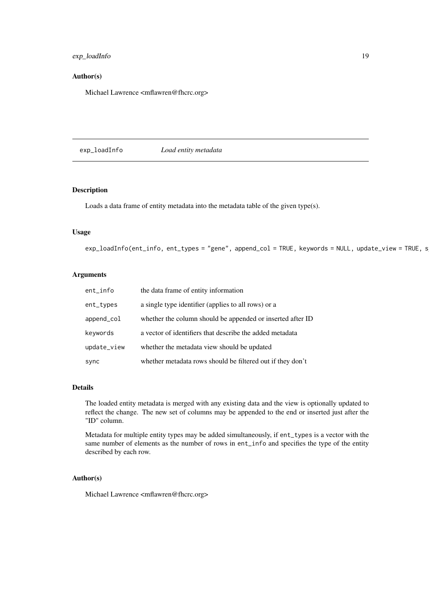#### <span id="page-18-0"></span>exp\_loadInfo 19

#### Author(s)

Michael Lawrence <mflawren@fhcrc.org>

exp\_loadInfo *Load entity metadata*

## Description

Loads a data frame of entity metadata into the metadata table of the given type(s).

## Usage

 $exp\_loadInfo(ent_info, ent_types = "gene", append\_col = TRUE, keywords = NULL, update\_view = TRUE, s$ 

#### Arguments

| ent_info    | the data frame of entity information                       |
|-------------|------------------------------------------------------------|
| ent_types   | a single type identifier (applies to all rows) or a        |
| append_col  | whether the column should be appended or inserted after ID |
| keywords    | a vector of identifiers that describe the added metadata   |
| update_view | whether the metadata view should be updated                |
| sync        | whether metadata rows should be filtered out if they don't |

#### Details

The loaded entity metadata is merged with any existing data and the view is optionally updated to reflect the change. The new set of columns may be appended to the end or inserted just after the "ID" column.

Metadata for multiple entity types may be added simultaneously, if ent\_types is a vector with the same number of elements as the number of rows in ent\_info and specifies the type of the entity described by each row.

#### Author(s)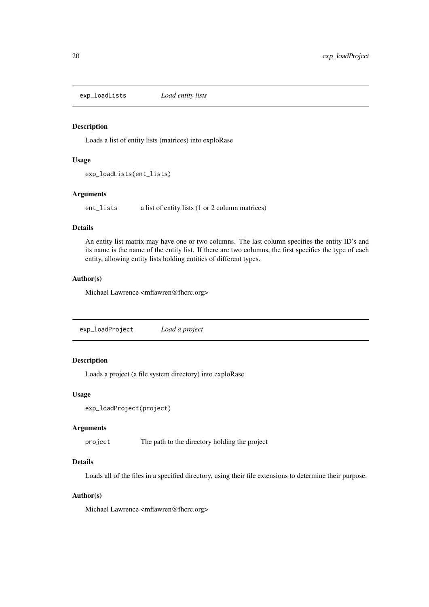<span id="page-19-0"></span>exp\_loadLists *Load entity lists*

#### Description

Loads a list of entity lists (matrices) into exploRase

#### Usage

```
exp_loadLists(ent_lists)
```
#### Arguments

ent\_lists a list of entity lists (1 or 2 column matrices)

#### Details

An entity list matrix may have one or two columns. The last column specifies the entity ID's and its name is the name of the entity list. If there are two columns, the first specifies the type of each entity, allowing entity lists holding entities of different types.

#### Author(s)

Michael Lawrence <mflawren@fhcrc.org>

exp\_loadProject *Load a project*

## Description

Loads a project (a file system directory) into exploRase

#### Usage

```
exp_loadProject(project)
```
#### Arguments

project The path to the directory holding the project

## Details

Loads all of the files in a specified directory, using their file extensions to determine their purpose.

#### Author(s)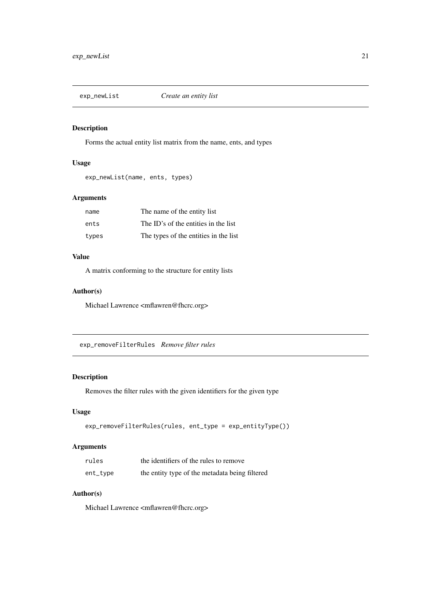<span id="page-20-0"></span>exp\_newList *Create an entity list*

#### Description

Forms the actual entity list matrix from the name, ents, and types

# Usage

exp\_newList(name, ents, types)

#### Arguments

| name  | The name of the entity list           |
|-------|---------------------------------------|
| ents  | The ID's of the entities in the list  |
| types | The types of the entities in the list |

# Value

A matrix conforming to the structure for entity lists

#### Author(s)

Michael Lawrence <mflawren@fhcrc.org>

exp\_removeFilterRules *Remove filter rules*

# Description

Removes the filter rules with the given identifiers for the given type

#### Usage

```
exp_removeFilterRules(rules, ent_type = exp_entityType())
```
#### Arguments

| rules      | the identifiers of the rules to remove         |
|------------|------------------------------------------------|
| $ent_type$ | the entity type of the metadata being filtered |

# Author(s)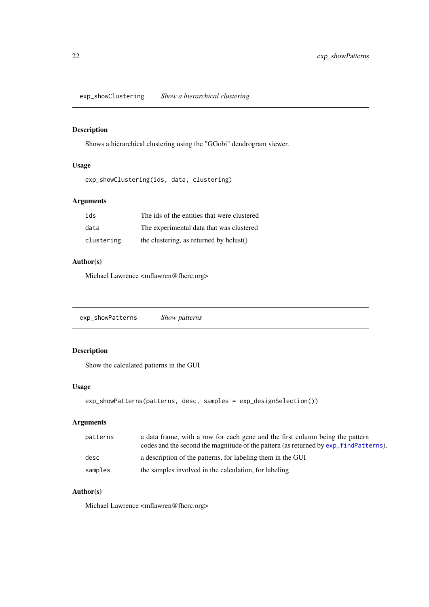<span id="page-21-0"></span>exp\_showClustering *Show a hierarchical clustering*

#### Description

Shows a hierarchical clustering using the "GGobi" dendrogram viewer.

# Usage

```
exp_showClustering(ids, data, clustering)
```
# Arguments

| ids        | The ids of the entities that were clustered |
|------------|---------------------------------------------|
| data       | The experimental data that was clustered    |
| clustering | the clustering, as returned by hclust()     |

### Author(s)

Michael Lawrence <mflawren@fhcrc.org>

exp\_showPatterns *Show patterns*

# Description

Show the calculated patterns in the GUI

#### Usage

```
exp_showPatterns(patterns, desc, samples = exp_designSelection())
```
# Arguments

| patterns | a data frame, with a row for each gene and the first column being the pattern<br>codes and the second the magnitude of the pattern (as returned by $exp_findPatters$ ). |
|----------|-------------------------------------------------------------------------------------------------------------------------------------------------------------------------|
| desc     | a description of the patterns, for labeling them in the GUI                                                                                                             |
| samples  | the samples involved in the calculation, for labeling                                                                                                                   |

## Author(s)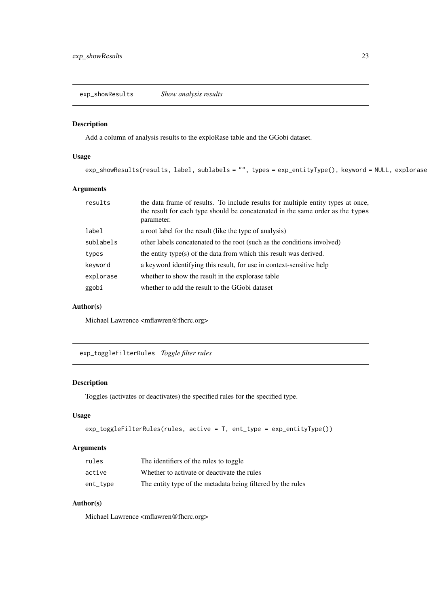<span id="page-22-0"></span>exp\_showResults *Show analysis results*

## Description

Add a column of analysis results to the exploRase table and the GGobi dataset.

## Usage

```
exp_showResults(results, label, sublabels = "", types = exp_entityType(), keyword = NULL, explorase
```
#### Arguments

| results   | the data frame of results. To include results for multiple entity types at once,<br>the result for each type should be concatenated in the same order as the types<br>parameter. |
|-----------|----------------------------------------------------------------------------------------------------------------------------------------------------------------------------------|
| label     | a root label for the result (like the type of analysis)                                                                                                                          |
| sublabels | other labels concatenated to the root (such as the conditions involved)                                                                                                          |
| types     | the entity type(s) of the data from which this result was derived.                                                                                                               |
| keyword   | a keyword identifying this result, for use in context-sensitive help                                                                                                             |
| explorase | whether to show the result in the explorase table                                                                                                                                |
| ggobi     | whether to add the result to the GGobi dataset                                                                                                                                   |

#### Author(s)

Michael Lawrence <mflawren@fhcrc.org>

exp\_toggleFilterRules *Toggle filter rules*

#### Description

Toggles (activates or deactivates) the specified rules for the specified type.

## Usage

```
exp_toggleFilterRules(rules, active = T, ent_type = exp_entityType())
```
# Arguments

| rules    | The identifiers of the rules to toggle                      |
|----------|-------------------------------------------------------------|
| active   | Whether to activate or deactivate the rules                 |
| ent_type | The entity type of the metadata being filtered by the rules |

# Author(s)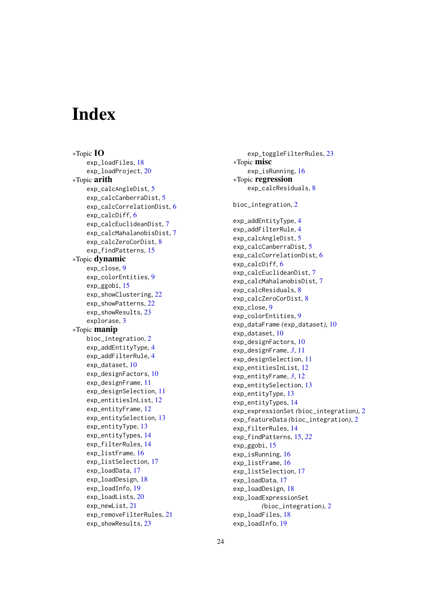# <span id="page-23-0"></span>Index

∗Topic IO exp\_loadFiles, [18](#page-17-0) exp\_loadProject, [20](#page-19-0) ∗Topic arith exp\_calcAngleDist, [5](#page-4-0) exp\_calcCanberraDist, [5](#page-4-0) exp\_calcCorrelationDist. [6](#page-5-0) exp\_calcDiff, [6](#page-5-0) exp\_calcEuclideanDist, [7](#page-6-0) exp\_calcMahalanobisDist, [7](#page-6-0) exp\_calcZeroCorDist. [8](#page-7-0) exp\_findPatterns, [15](#page-14-0) ∗Topic dynamic exp\_close, [9](#page-8-0) exp\_colorEntities, [9](#page-8-0) exp\_ggobi, [15](#page-14-0) exp\_showClustering, [22](#page-21-0) exp\_showPatterns, [22](#page-21-0) exp\_showResults, [23](#page-22-0) explorase, [3](#page-2-0) ∗Topic manip bioc\_integration, [2](#page-1-0) exp\_addEntityType, [4](#page-3-0) exp\_addFilterRule, [4](#page-3-0) exp\_dataset, [10](#page-9-0) exp\_designFactors, [10](#page-9-0) exp\_designFrame, [11](#page-10-0) exp\_designSelection, [11](#page-10-0) exp\_entitiesInList, [12](#page-11-0) exp\_entityFrame, [12](#page-11-0) exp\_entitySelection, [13](#page-12-0) exp\_entityType, [13](#page-12-0) exp\_entityTypes, [14](#page-13-0) exp\_filterRules, [14](#page-13-0) exp\_listFrame, [16](#page-15-0) exp\_listSelection, [17](#page-16-0) exp\_loadData, [17](#page-16-0) exp\_loadDesign, [18](#page-17-0) exp\_loadInfo, [19](#page-18-0) exp\_loadLists, [20](#page-19-0) exp\_newList, [21](#page-20-0) exp\_removeFilterRules, [21](#page-20-0) exp\_showResults, [23](#page-22-0)

exp\_toggleFilterRules, [23](#page-22-0) ∗Topic misc exp\_isRunning, [16](#page-15-0) ∗Topic regression exp\_calcResiduals, [8](#page-7-0) bioc\_integration, [2](#page-1-0) exp\_addEntityType, [4](#page-3-0) exp\_addFilterRule, [4](#page-3-0) exp\_calcAngleDist, [5](#page-4-0) exp\_calcCanberraDist, [5](#page-4-0) exp\_calcCorrelationDist, [6](#page-5-0) exp\_calcDiff, [6](#page-5-0) exp\_calcEuclideanDist, [7](#page-6-0) exp\_calcMahalanobisDist. [7](#page-6-0) exp\_calcResiduals, [8](#page-7-0) exp\_calcZeroCorDist, [8](#page-7-0) exp\_close, [9](#page-8-0) exp\_colorEntities, [9](#page-8-0) exp\_dataFrame *(*exp\_dataset*)*, [10](#page-9-0) exp\_dataset, [10](#page-9-0) exp\_designFactors, [10](#page-9-0) exp\_designFrame, *[3](#page-2-0)*, [11](#page-10-0) exp\_designSelection, [11](#page-10-0) exp\_entitiesInList, [12](#page-11-0) exp\_entityFrame, *[3](#page-2-0)*, [12](#page-11-0) exp\_entitySelection, [13](#page-12-0) exp\_entityType, [13](#page-12-0) exp\_entityTypes, [14](#page-13-0) exp\_expressionSet *(*bioc\_integration*)*, [2](#page-1-0) exp\_featureData *(*bioc\_integration*)*, [2](#page-1-0) exp\_filterRules, [14](#page-13-0) exp\_findPatterns, [15,](#page-14-0) *[22](#page-21-0)* exp\_ggobi, [15](#page-14-0) exp\_isRunning, [16](#page-15-0) exp\_listFrame, [16](#page-15-0) exp\_listSelection, [17](#page-16-0) exp\_loadData, [17](#page-16-0) exp\_loadDesign, [18](#page-17-0) exp\_loadExpressionSet *(*bioc\_integration*)*, [2](#page-1-0) exp\_loadFiles, [18](#page-17-0) exp\_loadInfo, [19](#page-18-0)